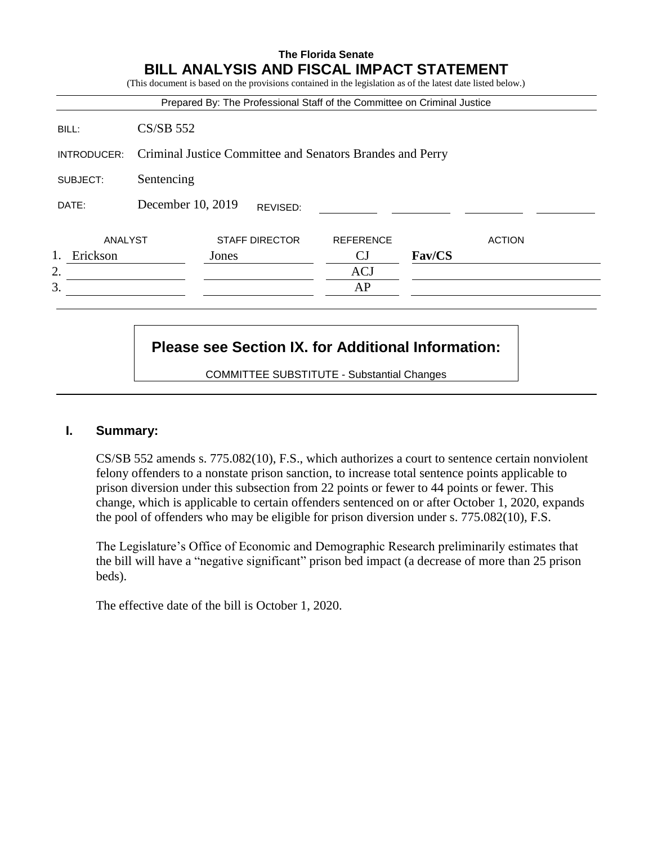# **The Florida Senate BILL ANALYSIS AND FISCAL IMPACT STATEMENT** (This document is based on the provisions contained in the legislation as of the latest date listed below.) Prepared By: The Professional Staff of the Committee on Criminal Justice BILL: CS/SB 552 INTRODUCER: Criminal Justice Committee and Senators Brandes and Perry SUBJECT: Sentencing DATE: December 10, 2019 ANALYST STAFF DIRECTOR REFERENCE ACTION 1. Erickson Jones CJ **Fav/CS** 2. ACJ  $3.$  AP REVISED:

## **Please see Section IX. for Additional Information:**

COMMITTEE SUBSTITUTE - Substantial Changes

#### **I. Summary:**

CS/SB 552 amends s. 775.082(10), F.S., which authorizes a court to sentence certain nonviolent felony offenders to a nonstate prison sanction, to increase total sentence points applicable to prison diversion under this subsection from 22 points or fewer to 44 points or fewer. This change, which is applicable to certain offenders sentenced on or after October 1, 2020, expands the pool of offenders who may be eligible for prison diversion under s. 775.082(10), F.S.

The Legislature's Office of Economic and Demographic Research preliminarily estimates that the bill will have a "negative significant" prison bed impact (a decrease of more than 25 prison beds).

The effective date of the bill is October 1, 2020.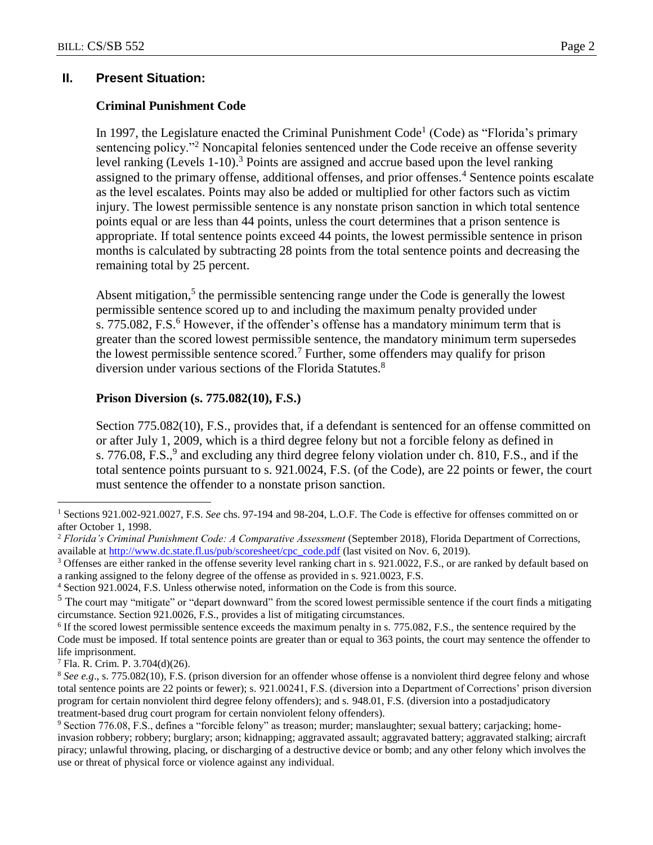#### **II. Present Situation:**

#### **Criminal Punishment Code**

In 1997, the Legislature enacted the Criminal Punishment Code<sup>1</sup> (Code) as "Florida's primary sentencing policy."<sup>2</sup> Noncapital felonies sentenced under the Code receive an offense severity level ranking (Levels 1-10).<sup>3</sup> Points are assigned and accrue based upon the level ranking assigned to the primary offense, additional offenses, and prior offenses.<sup>4</sup> Sentence points escalate as the level escalates. Points may also be added or multiplied for other factors such as victim injury. The lowest permissible sentence is any nonstate prison sanction in which total sentence points equal or are less than 44 points, unless the court determines that a prison sentence is appropriate. If total sentence points exceed 44 points, the lowest permissible sentence in prison months is calculated by subtracting 28 points from the total sentence points and decreasing the remaining total by 25 percent.

Absent mitigation, $5$  the permissible sentencing range under the Code is generally the lowest permissible sentence scored up to and including the maximum penalty provided under s. 775.082, F.S. $<sup>6</sup>$  However, if the offender's offense has a mandatory minimum term that is</sup> greater than the scored lowest permissible sentence, the mandatory minimum term supersedes the lowest permissible sentence scored.<sup>7</sup> Further, some offenders may qualify for prison diversion under various sections of the Florida Statutes.<sup>8</sup>

#### **Prison Diversion (s. 775.082(10), F.S.)**

Section 775.082(10), F.S., provides that, if a defendant is sentenced for an offense committed on or after July 1, 2009, which is a third degree felony but not a forcible felony as defined in s. 776.08, F.S.,<sup>9</sup> and excluding any third degree felony violation under ch. 810, F.S., and if the total sentence points pursuant to s. 921.0024, F.S. (of the Code), are 22 points or fewer, the court must sentence the offender to a nonstate prison sanction.

 $\overline{a}$ 

<sup>1</sup> Sections 921.002-921.0027, F.S. *See* chs. 97-194 and 98-204, L.O.F. The Code is effective for offenses committed on or after October 1, 1998.

<sup>2</sup> *Florida's Criminal Punishment Code: A Comparative Assessment* (September 2018), Florida Department of Corrections, available at [http://www.dc.state.fl.us/pub/scoresheet/cpc\\_code.pdf](http://www.dc.state.fl.us/pub/scoresheet/cpc_code.pdf) (last visited on Nov. 6, 2019).

<sup>&</sup>lt;sup>3</sup> Offenses are either ranked in the offense severity level ranking chart in s. 921.0022, F.S., or are ranked by default based on a ranking assigned to the felony degree of the offense as provided in s. 921.0023, F.S.

<sup>4</sup> Section 921.0024, F.S. Unless otherwise noted, information on the Code is from this source.

 $<sup>5</sup>$  The court may "mitigate" or "depart downward" from the scored lowest permissible sentence if the court finds a mitigating</sup> circumstance. Section 921.0026, F.S., provides a list of mitigating circumstances.

<sup>&</sup>lt;sup>6</sup> If the scored lowest permissible sentence exceeds the maximum penalty in s. 775.082, F.S., the sentence required by the Code must be imposed. If total sentence points are greater than or equal to 363 points, the court may sentence the offender to life imprisonment.

<sup>7</sup> Fla. R. Crim. P. 3.704(d)(26).

<sup>8</sup> *See e.g*., s. 775.082(10), F.S. (prison diversion for an offender whose offense is a nonviolent third degree felony and whose total sentence points are 22 points or fewer); s. 921.00241, F.S. (diversion into a Department of Corrections' prison diversion program for certain nonviolent third degree felony offenders); and s. 948.01, F.S. (diversion into a postadjudicatory treatment-based drug court program for certain nonviolent felony offenders).

<sup>9</sup> Section 776.08, F.S., defines a "forcible felony" as treason; murder; manslaughter; sexual battery; carjacking; homeinvasion robbery; robbery; burglary; arson; kidnapping; aggravated assault; aggravated battery; aggravated stalking; aircraft piracy; unlawful throwing, placing, or discharging of a destructive device or bomb; and any other felony which involves the use or threat of physical force or violence against any individual.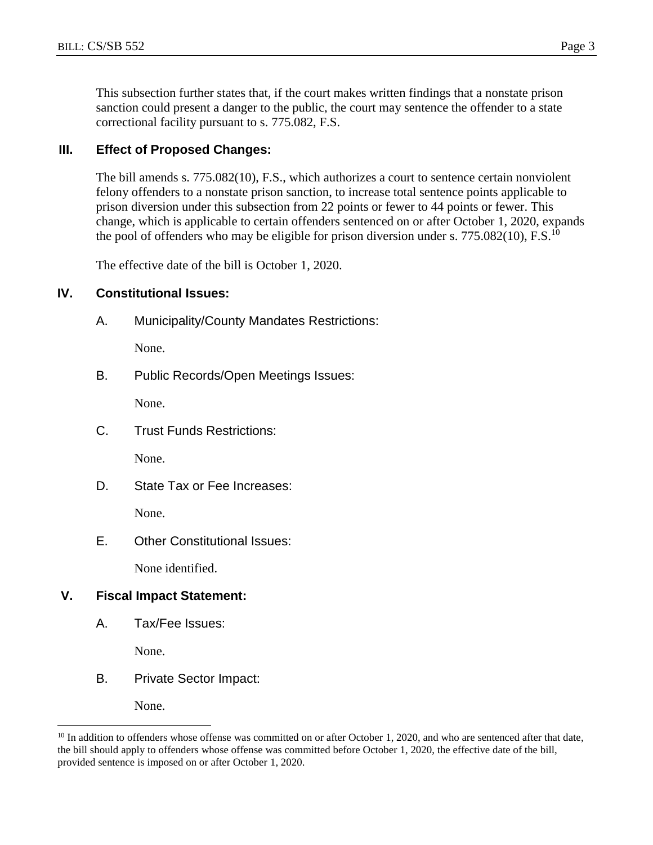This subsection further states that, if the court makes written findings that a nonstate prison sanction could present a danger to the public, the court may sentence the offender to a state correctional facility pursuant to s. 775.082, F.S.

## **III. Effect of Proposed Changes:**

The bill amends s. 775.082(10), F.S., which authorizes a court to sentence certain nonviolent felony offenders to a nonstate prison sanction, to increase total sentence points applicable to prison diversion under this subsection from 22 points or fewer to 44 points or fewer. This change, which is applicable to certain offenders sentenced on or after October 1, 2020, expands the pool of offenders who may be eligible for prison diversion under s.  $775.082(10)$ , F.S.<sup>10</sup>

The effective date of the bill is October 1, 2020.

## **IV. Constitutional Issues:**

A. Municipality/County Mandates Restrictions:

None.

B. Public Records/Open Meetings Issues:

None.

C. Trust Funds Restrictions:

None.

D. State Tax or Fee Increases:

None.

E. Other Constitutional Issues:

None identified.

## **V. Fiscal Impact Statement:**

A. Tax/Fee Issues:

None.

B. Private Sector Impact:

None.

 $\overline{a}$ 

 $10$  In addition to offenders whose offense was committed on or after October 1, 2020, and who are sentenced after that date, the bill should apply to offenders whose offense was committed before October 1, 2020, the effective date of the bill, provided sentence is imposed on or after October 1, 2020.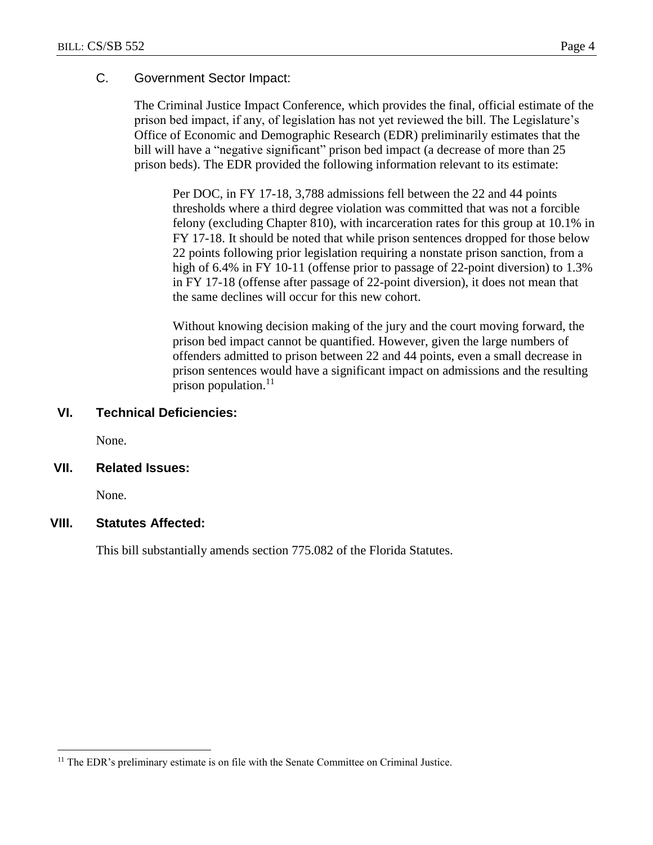## C. Government Sector Impact:

The Criminal Justice Impact Conference, which provides the final, official estimate of the prison bed impact, if any, of legislation has not yet reviewed the bill. The Legislature's Office of Economic and Demographic Research (EDR) preliminarily estimates that the bill will have a "negative significant" prison bed impact (a decrease of more than 25 prison beds). The EDR provided the following information relevant to its estimate:

Per DOC, in FY 17-18, 3,788 admissions fell between the 22 and 44 points thresholds where a third degree violation was committed that was not a forcible felony (excluding Chapter 810), with incarceration rates for this group at 10.1% in FY 17-18. It should be noted that while prison sentences dropped for those below 22 points following prior legislation requiring a nonstate prison sanction, from a high of 6.4% in FY 10-11 (offense prior to passage of 22-point diversion) to 1.3% in FY 17-18 (offense after passage of 22-point diversion), it does not mean that the same declines will occur for this new cohort.

Without knowing decision making of the jury and the court moving forward, the prison bed impact cannot be quantified. However, given the large numbers of offenders admitted to prison between 22 and 44 points, even a small decrease in prison sentences would have a significant impact on admissions and the resulting prison population. $^{11}$ 

#### **VI. Technical Deficiencies:**

None.

#### **VII. Related Issues:**

None.

 $\overline{a}$ 

## **VIII. Statutes Affected:**

This bill substantially amends section 775.082 of the Florida Statutes.

<sup>&</sup>lt;sup>11</sup> The EDR's preliminary estimate is on file with the Senate Committee on Criminal Justice.